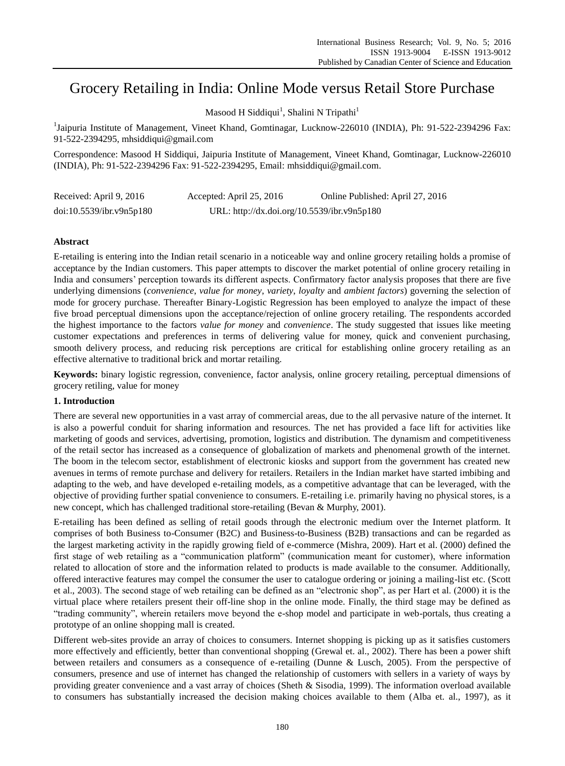# Grocery Retailing in India: Online Mode versus Retail Store Purchase

Masood H Siddiqui<sup>1</sup>, Shalini N Tripathi<sup>1</sup>

<sup>1</sup>Jaipuria Institute of Management, Vineet Khand, Gomtinagar, Lucknow-226010 (INDIA), Ph: 91-522-2394296 Fax: 91-522-2394295, mhsiddiqui@gmail.com

Correspondence: Masood H Siddiqui, Jaipuria Institute of Management, Vineet Khand, Gomtinagar, Lucknow-226010 (INDIA), Ph: 91-522-2394296 Fax: 91-522-2394295, Email: mhsiddiqui@gmail.com.

| Received: April 9, 2016  | Accepted: April 25, 2016                    | Online Published: April 27, 2016 |
|--------------------------|---------------------------------------------|----------------------------------|
| doi:10.5539/ibr.v9n5p180 | URL: http://dx.doi.org/10.5539/ibr.v9n5p180 |                                  |

# **Abstract**

E-retailing is entering into the Indian retail scenario in a noticeable way and online grocery retailing holds a promise of acceptance by the Indian customers. This paper attempts to discover the market potential of online grocery retailing in India and consumers' perception towards its different aspects. Confirmatory factor analysis proposes that there are five underlying dimensions (*convenience*, *value for money*, *variety*, *loyalty* and *ambient factors*) governing the selection of mode for grocery purchase. Thereafter Binary-Logistic Regression has been employed to analyze the impact of these five broad perceptual dimensions upon the acceptance/rejection of online grocery retailing. The respondents accorded the highest importance to the factors *value for money* and *convenience*. The study suggested that issues like meeting customer expectations and preferences in terms of delivering value for money, quick and convenient purchasing, smooth delivery process, and reducing risk perceptions are critical for establishing online grocery retailing as an effective alternative to traditional brick and mortar retailing.

**Keywords:** binary logistic regression, convenience, factor analysis, online grocery retailing, perceptual dimensions of grocery retiling, value for money

## **1. Introduction**

There are several new opportunities in a vast array of commercial areas, due to the all pervasive nature of the internet. It is also a powerful conduit for sharing information and resources. The net has provided a face lift for activities like marketing of goods and services, advertising, promotion, logistics and distribution. The dynamism and competitiveness of the retail sector has increased as a consequence of globalization of markets and phenomenal growth of the internet. The boom in the telecom sector, establishment of electronic kiosks and support from the government has created new avenues in terms of remote purchase and delivery for retailers. Retailers in the Indian market have started imbibing and adapting to the web, and have developed e-retailing models, as a competitive advantage that can be leveraged, with the objective of providing further spatial convenience to consumers. E-retailing i.e. primarily having no physical stores, is a new concept, which has challenged traditional store-retailing (Bevan & Murphy, 2001).

E-retailing has been defined as selling of retail goods through the electronic medium over the Internet platform. It comprises of both Business to-Consumer (B2C) and Business-to-Business (B2B) transactions and can be regarded as the largest marketing activity in the rapidly growing field of e-commerce (Mishra, 2009). Hart et al. (2000) defined the first stage of web retailing as a "communication platform" (communication meant for customer), where information related to allocation of store and the information related to products is made available to the consumer. Additionally, offered interactive features may compel the consumer the user to catalogue ordering or joining a mailing-list etc. (Scott et al., 2003). The second stage of web retailing can be defined as an "electronic shop", as per Hart et al. (2000) it is the virtual place where retailers present their off-line shop in the online mode. Finally, the third stage may be defined as "trading community", wherein retailers move beyond the e-shop model and participate in web-portals, thus creating a prototype of an online shopping mall is created.

Different web-sites provide an array of choices to consumers. Internet shopping is picking up as it satisfies customers more effectively and efficiently, better than conventional shopping (Grewal et. al., 2002). There has been a power shift between retailers and consumers as a consequence of e-retailing (Dunne & Lusch, 2005). From the perspective of consumers, presence and use of internet has changed the relationship of customers with sellers in a variety of ways by providing greater convenience and a vast array of choices (Sheth & Sisodia, 1999). The information overload available to consumers has substantially increased the decision making choices available to them (Alba et. al., 1997), as it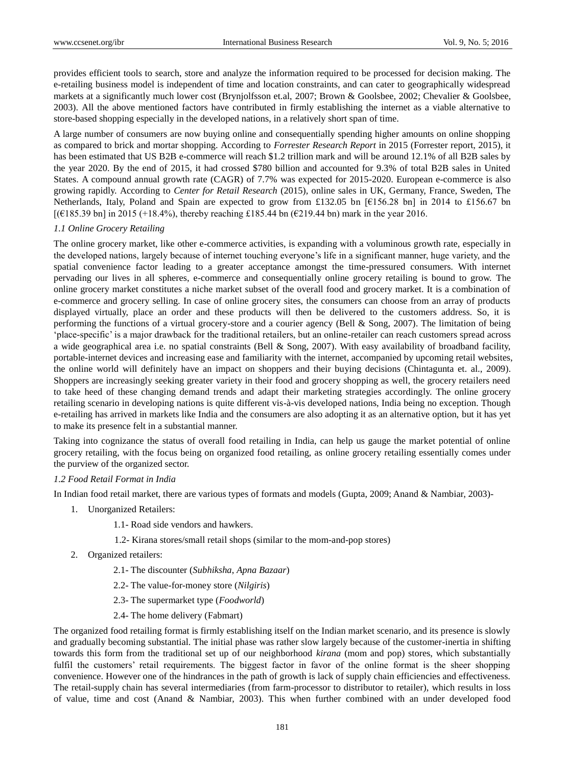provides efficient tools to search, store and analyze the information required to be processed for decision making. The e-retailing business model is independent of time and location constraints, and can cater to geographically widespread markets at a significantly much lower cost (Brynjolfsson et.al, 2007; Brown & Goolsbee, 2002; Chevalier & Goolsbee, 2003). All the above mentioned factors have contributed in firmly establishing the internet as a viable alternative to store-based shopping especially in the developed nations, in a relatively short span of time.

A large number of consumers are now buying online and consequentially spending higher amounts on online shopping as compared to brick and mortar shopping. According to *Forrester Research Report* in 2015 (Forrester report, 2015), it has been estimated that US B2B e-commerce will reach \$1.2 trillion mark and will be around 12.1% of all B2B sales by the year 2020. By the end of 2015, it had crossed \$780 billion and accounted for 9.3% of total B2B sales in United States. A compound annual growth rate (CAGR) of 7.7% was expected for 2015-2020. European e-commerce is also growing rapidly. According to *Center for Retail Research* (2015)*,* online sales in UK, Germany, France, Sweden, The Netherlands, Italy, Poland and Spain are expected to grow from £132.05 bn [€156.28 bn] in 2014 to £156.67 bn  $[(6185.39 \text{ bn}]$  in 2015 (+18.4%), thereby reaching £185.44 bn ( $6219.44$  bn) mark in the year 2016.

### *1.1 Online Grocery Retailing*

The online grocery market, like other e-commerce activities, is expanding with a voluminous growth rate, especially in the developed nations, largely because of internet touching everyone's life in a significant manner, huge variety, and the spatial convenience factor leading to a greater acceptance amongst the time-pressured consumers. With internet pervading our lives in all spheres, e-commerce and consequentially online grocery retailing is bound to grow. The online grocery market constitutes a niche market subset of the overall food and grocery market. It is a combination of e-commerce and grocery selling. In case of online grocery sites, the consumers can choose from an array of products displayed virtually, place an order and these products will then be delivered to the customers address. So, it is performing the functions of a virtual grocery-store and a courier agency (Bell & Song, 2007). The limitation of being 'place-specific' is a major drawback for the traditional retailers, but an online-retailer can reach customers spread across a wide geographical area i.e. no spatial constraints (Bell & Song, 2007). With easy availability of broadband facility, portable-internet devices and increasing ease and familiarity with the internet, accompanied by upcoming retail websites, the online world will definitely have an impact on shoppers and their buying decisions (Chintagunta et. al., 2009). Shoppers are increasingly seeking greater variety in their food and grocery shopping as well, the grocery retailers need to take heed of these changing demand trends and adapt their marketing strategies accordingly. The online grocery retailing scenario in developing nations is quite different vis-à-vis developed nations, India being no exception. Though e-retailing has arrived in markets like India and the consumers are also adopting it as an alternative option, but it has yet to make its presence felt in a substantial manner.

Taking into cognizance the status of overall food retailing in India, can help us gauge the market potential of online grocery retailing, with the focus being on organized food retailing, as online grocery retailing essentially comes under the purview of the organized sector.

#### *1.2 Food Retail Format in India*

In Indian food retail market, there are various types of formats and models (Gupta, 2009; Anand & Nambiar, 2003)-

- 1. Unorganized Retailers:
	- 1.1- Road side vendors and hawkers.
	- 1.2- Kirana stores/small retail shops (similar to the mom-and-pop stores)
- 2. Organized retailers:
	- 2.1- The discounter (*Subhiksha*, *Apna Bazaar*)
	- 2.2- The value-for-money store (*Nilgiris*)
	- 2.3- The supermarket type (*Foodworld*)
	- 2.4- The home delivery (Fabmart)

The organized food retailing format is firmly establishing itself on the Indian market scenario, and its presence is slowly and gradually becoming substantial. The initial phase was rather slow largely because of the customer-inertia in shifting towards this form from the traditional set up of our neighborhood *kirana* (mom and pop) stores, which substantially fulfil the customers' retail requirements. The biggest factor in favor of the online format is the sheer shopping convenience. However one of the hindrances in the path of growth is lack of supply chain efficiencies and effectiveness. The retail-supply chain has several intermediaries (from farm-processor to distributor to retailer), which results in loss of value, time and cost (Anand & Nambiar, 2003). This when further combined with an under developed food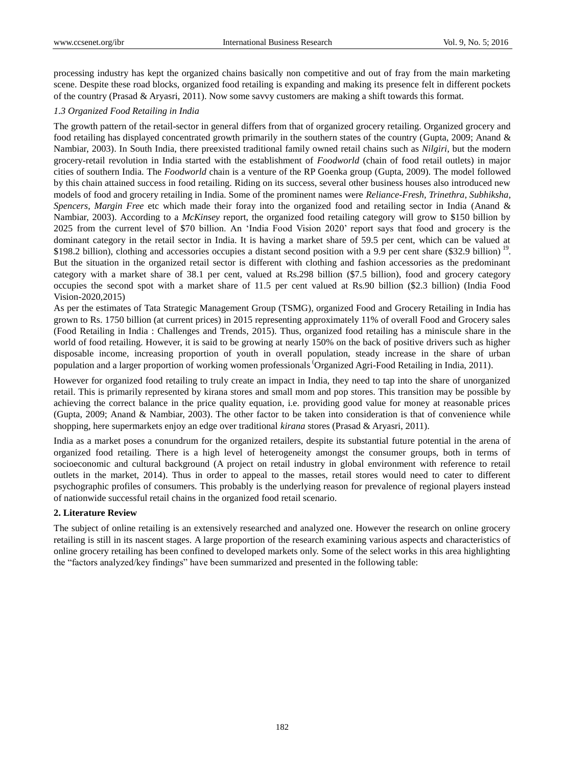processing industry has kept the organized chains basically non competitive and out of fray from the main marketing scene. Despite these road blocks, organized food retailing is expanding and making its presence felt in different pockets of the country (Prasad & Aryasri, 2011). Now some savvy customers are making a shift towards this format.

# *1.3 Organized Food Retailing in India*

The growth pattern of the retail-sector in general differs from that of organized grocery retailing. Organized grocery and food retailing has displayed concentrated growth primarily in the southern states of the country (Gupta, 2009; Anand & Nambiar, 2003). In South India, there preexisted traditional family owned retail chains such as *Nilgiri*, but the modern grocery-retail revolution in India started with the establishment of *Foodworld* (chain of food retail outlets) in major cities of southern India. The *Foodworld* chain is a venture of the RP Goenka group (Gupta, 2009). The model followed by this chain attained success in food retailing. Riding on its success, several other business houses also introduced new models of food and grocery retailing in India. Some of the prominent names were *Reliance-Fresh, Trinethra*, *Subhiksha*, *Spencers*, *Margin Free* etc which made their foray into the organized food and retailing sector in India (Anand & Nambiar, 2003). According to a *McKinsey* report, the organized food retailing category will grow to \$150 billion by 2025 from the current level of \$70 billion. An 'India Food Vision 2020' report says that food and grocery is the dominant category in the retail sector in India. It is having a market share of 59.5 per cent, which can be valued at \$198.2 billion), clothing and accessories occupies a distant second position with a 9.9 per cent share (\$32.9 billion)<sup>19</sup>. But the situation in the organized retail sector is different with clothing and fashion accessories as the predominant category with a market share of 38.1 per cent, valued at Rs.298 billion (\$7.5 billion), food and grocery category occupies the second spot with a market share of 11.5 per cent valued at Rs.90 billion (\$2.3 billion) (India Food Vision-2020,2015)

As per the estimates of Tata Strategic Management Group (TSMG), organized Food and Grocery Retailing in India has grown to Rs. 1750 billion (at current prices) in 2015 representing approximately 11% of overall Food and Grocery sales (Food Retailing in India : Challenges and Trends, 2015). Thus, organized food retailing has a miniscule share in the world of food retailing. However, it is said to be growing at nearly 150% on the back of positive drivers such as higher disposable income, increasing proportion of youth in overall population, steady increase in the share of urban population and a larger proportion of working women professionals (Organized Agri-Food Retailing in India, 2011).

However for organized food retailing to truly create an impact in India, they need to tap into the share of unorganized retail. This is primarily represented by kirana stores and small mom and pop stores. This transition may be possible by achieving the correct balance in the price quality equation, i.e. providing good value for money at reasonable prices (Gupta, 2009; Anand & Nambiar, 2003). The other factor to be taken into consideration is that of convenience while shopping, here supermarkets enjoy an edge over traditional *kirana* stores (Prasad & Aryasri, 2011).

India as a market poses a conundrum for the organized retailers, despite its substantial future potential in the arena of organized food retailing. There is a high level of heterogeneity amongst the consumer groups, both in terms of socioeconomic and cultural background (A project on retail industry in global environment with reference to retail outlets in the market, 2014). Thus in order to appeal to the masses, retail stores would need to cater to different psychographic profiles of consumers. This probably is the underlying reason for prevalence of regional players instead of nationwide successful retail chains in the organized food retail scenario.

## **2. Literature Review**

The subject of online retailing is an extensively researched and analyzed one. However the research on online grocery retailing is still in its nascent stages. A large proportion of the research examining various aspects and characteristics of online grocery retailing has been confined to developed markets only. Some of the select works in this area highlighting the "factors analyzed/key findings" have been summarized and presented in the following table: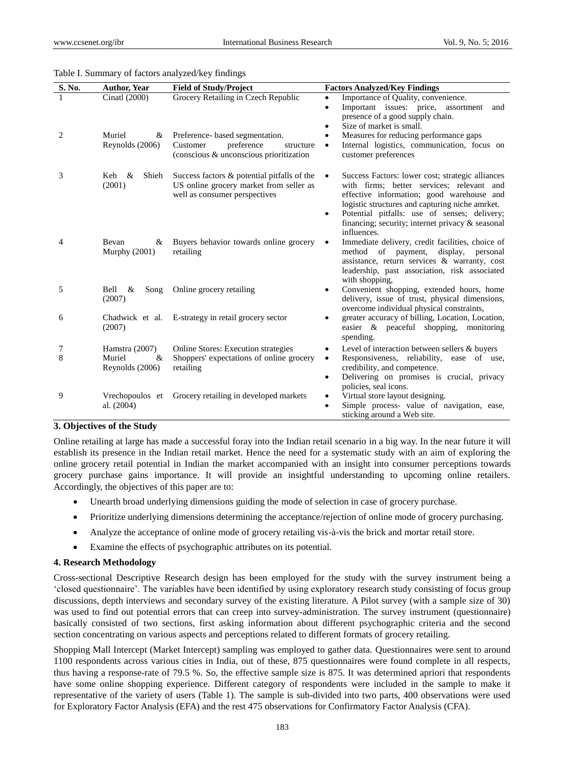| S. No.         | <b>Author, Year</b>            | <b>Field of Study/Project</b>                                                                                              | <b>Factors Analyzed/Key Findings</b>                                                                                                                                                                                                                                                                             |
|----------------|--------------------------------|----------------------------------------------------------------------------------------------------------------------------|------------------------------------------------------------------------------------------------------------------------------------------------------------------------------------------------------------------------------------------------------------------------------------------------------------------|
|                | Cinatl (2000)                  | Grocery Retailing in Czech Republic                                                                                        | Importance of Quality, convenience.<br>Important issues: price, assortment<br>and<br>presence of a good supply chain.<br>Size of market is small.                                                                                                                                                                |
| $\overline{2}$ | Muriel<br>&<br>Reynolds (2006) | Preference- based segmentation.<br>Customer<br>preference<br>structure<br>(conscious & unconscious prioritization          | Measures for reducing performance gaps<br>Internal logistics, communication, focus on<br>$\bullet$<br>customer preferences                                                                                                                                                                                       |
| 3              | Keh &<br>Shieh<br>(2001)       | Success factors $\&$ potential pitfalls of the<br>US online grocery market from seller as<br>well as consumer perspectives | Success Factors: lower cost; strategic alliances<br>with firms; better services; relevant and<br>effective information; good warehouse and<br>logistic structures and capturing niche amrket.<br>Potential pitfalls: use of senses; delivery;<br>financing; security; internet privacy & seasonal<br>influences. |
| 4              | Bevan<br>&<br>Murphy $(2001)$  | Buyers behavior towards online grocery<br>retailing                                                                        | Immediate delivery, credit facilities, choice of<br>method of payment, display,<br>personal<br>assistance, return services & warranty, cost<br>leadership, past association, risk associated<br>with shopping,                                                                                                   |
| 5              | Bell<br>&<br>Song<br>(2007)    | Online grocery retailing                                                                                                   | Convenient shopping, extended hours, home<br>delivery, issue of trust, physical dimensions,<br>overcome individual physical constraints,                                                                                                                                                                         |
| 6              | Chadwick et al.<br>(2007)      | E-strategy in retail grocery sector                                                                                        | greater accuracy of billing, Location, Location,<br>easier & peaceful shopping, monitoring<br>spending.                                                                                                                                                                                                          |
| 7              | Hamstra (2007)                 | <b>Online Stores: Execution strategies</b>                                                                                 | Level of interaction between sellers & buyers                                                                                                                                                                                                                                                                    |
| 8              | Muriel<br>&<br>Reynolds (2006) | Shoppers' expectations of online grocery<br>retailing                                                                      | Responsiveness, reliability, ease of use,<br>$\bullet$<br>credibility, and competence.                                                                                                                                                                                                                           |
|                |                                |                                                                                                                            | Delivering on promises is crucial, privacy<br>$\bullet$<br>policies, seal icons.                                                                                                                                                                                                                                 |
| 9              | Vrechopoulos et                | Grocery retailing in developed markets                                                                                     | Virtual store layout designing.                                                                                                                                                                                                                                                                                  |
|                | al. (2004)                     |                                                                                                                            | Simple process- value of navigation, ease,<br>sticking around a Web site.                                                                                                                                                                                                                                        |

#### Table I. Summary of factors analyzed/key findings

#### **3. Objectives of the Study**

Online retailing at large has made a successful foray into the Indian retail scenario in a big way. In the near future it will establish its presence in the Indian retail market. Hence the need for a systematic study with an aim of exploring the online grocery retail potential in Indian the market accompanied with an insight into consumer perceptions towards grocery purchase gains importance. It will provide an insightful understanding to upcoming online retailers. Accordingly, the objectives of this paper are to:

- Unearth broad underlying dimensions guiding the mode of selection in case of grocery purchase.
- Prioritize underlying dimensions determining the acceptance/rejection of online mode of grocery purchasing.
- Analyze the acceptance of online mode of grocery retailing vis-à-vis the brick and mortar retail store.
- Examine the effects of psychographic attributes on its potential.

#### **4. Research Methodology**

Cross-sectional Descriptive Research design has been employed for the study with the survey instrument being a 'closed questionnaire'. The variables have been identified by using exploratory research study consisting of focus group discussions, depth interviews and secondary survey of the existing literature. A Pilot survey (with a sample size of 30) was used to find out potential errors that can creep into survey-administration. The survey instrument (questionnaire) basically consisted of two sections, first asking information about different psychographic criteria and the second section concentrating on various aspects and perceptions related to different formats of grocery retailing.

Shopping Mall Intercept (Market Intercept) sampling was employed to gather data. Questionnaires were sent to around 1100 respondents across various cities in India, out of these, 875 questionnaires were found complete in all respects, thus having a response-rate of 79.5 %. So, the effective sample size is 875. It was determined apriori that respondents have some online shopping experience. Different category of respondents were included in the sample to make it representative of the variety of users (Table 1). The sample is sub-divided into two parts, 400 observations were used for Exploratory Factor Analysis (EFA) and the rest 475 observations for Confirmatory Factor Analysis (CFA).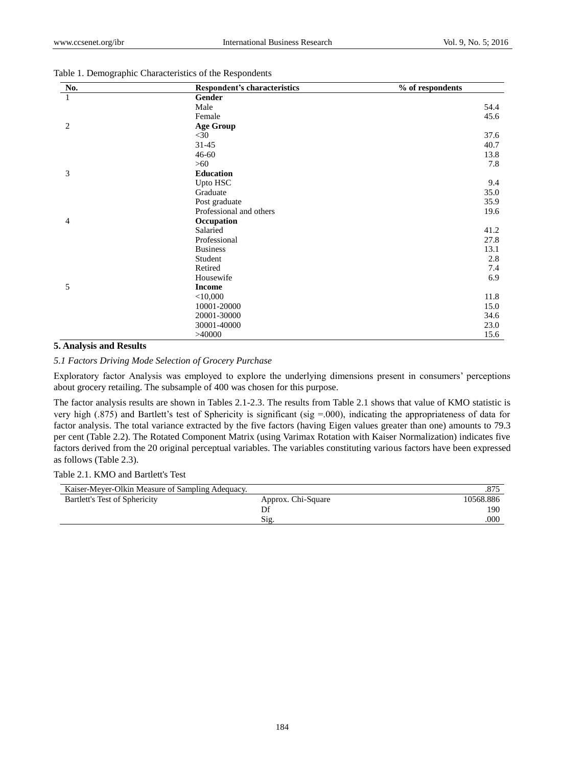| No.            | <b>Respondent's characteristics</b> | % of respondents |
|----------------|-------------------------------------|------------------|
| 1              | Gender                              |                  |
|                | Male                                | 54.4             |
|                | Female                              | 45.6             |
| $\overline{2}$ | <b>Age Group</b>                    |                  |
|                | $<$ 30                              | 37.6             |
|                | $31 - 45$                           | 40.7             |
|                | $46 - 60$                           | 13.8             |
|                | >60                                 | 7.8              |
| 3              | <b>Education</b>                    |                  |
|                | Upto HSC                            | 9.4              |
|                | Graduate                            | 35.0             |
|                | Post graduate                       | 35.9             |
|                | Professional and others             | 19.6             |
| 4              | Occupation                          |                  |
|                | Salaried                            | 41.2             |
|                | Professional                        | 27.8             |
|                | <b>Business</b>                     | 13.1             |
|                | Student                             | 2.8              |
|                | Retired                             | 7.4              |
|                | Housewife                           | 6.9              |
| 5              | <b>Income</b>                       |                  |
|                | $<$ 10,000                          | 11.8             |
|                | 10001-20000                         | 15.0             |
|                | 20001-30000                         | 34.6             |
|                | 30001-40000                         | 23.0             |
|                | >40000                              | 15.6             |

#### Table 1. Demographic Characteristics of the Respondents

# **5. Analysis and Results**

## *5.1 Factors Driving Mode Selection of Grocery Purchase*

Exploratory factor Analysis was employed to explore the underlying dimensions present in consumers' perceptions about grocery retailing. The subsample of 400 was chosen for this purpose.

The factor analysis results are shown in Tables 2.1-2.3. The results from Table 2.1 shows that value of KMO statistic is very high (.875) and Bartlett's test of Sphericity is significant (sig =.000), indicating the appropriateness of data for factor analysis. The total variance extracted by the five factors (having Eigen values greater than one) amounts to 79.3 per cent (Table 2.2). The Rotated Component Matrix (using Varimax Rotation with Kaiser Normalization) indicates five factors derived from the 20 original perceptual variables. The variables constituting various factors have been expressed as follows (Table 2.3).

## Table 2.1. KMO and Bartlett's Test

| Kaiser-Meyer-Olkin Measure of Sampling Adequacy. |                    | .875      |
|--------------------------------------------------|--------------------|-----------|
| Bartlett's Test of Sphericity                    | Approx. Chi-Square | 10568.886 |
|                                                  |                    | 190       |
|                                                  | Sig                | .000      |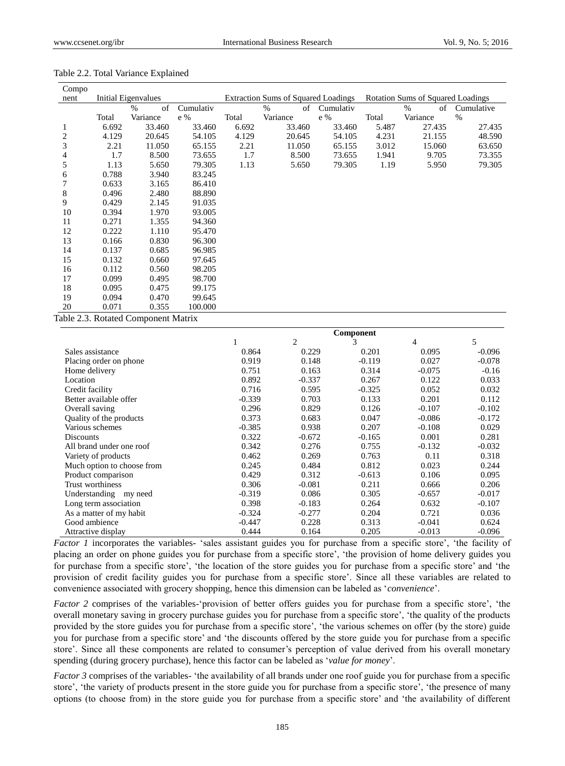| Compo          |       |                     |           |       |                                            |           |       |                                          |            |
|----------------|-------|---------------------|-----------|-------|--------------------------------------------|-----------|-------|------------------------------------------|------------|
| nent           |       | Initial Eigenvalues |           |       | <b>Extraction Sums of Squared Loadings</b> |           |       | <b>Rotation Sums of Squared Loadings</b> |            |
|                |       | $\%$<br>of          | Cumulativ |       | $\%$<br>of                                 | Cumulativ |       | $\%$<br>of                               | Cumulative |
|                | Total | Variance            | e %       | Total | Variance                                   | e %       | Total | Variance                                 | $\%$       |
| 1              | 6.692 | 33.460              | 33.460    | 6.692 | 33.460                                     | 33.460    | 5.487 | 27.435                                   | 27.435     |
| $\overline{c}$ | 4.129 | 20.645              | 54.105    | 4.129 | 20.645                                     | 54.105    | 4.231 | 21.155                                   | 48.590     |
| 3              | 2.21  | 11.050              | 65.155    | 2.21  | 11.050                                     | 65.155    | 3.012 | 15.060                                   | 63.650     |
| 4              | 1.7   | 8.500               | 73.655    | 1.7   | 8.500                                      | 73.655    | 1.941 | 9.705                                    | 73.355     |
| 5              | 1.13  | 5.650               | 79.305    | 1.13  | 5.650                                      | 79.305    | 1.19  | 5.950                                    | 79.305     |
| 6              | 0.788 | 3.940               | 83.245    |       |                                            |           |       |                                          |            |
| 7              | 0.633 | 3.165               | 86.410    |       |                                            |           |       |                                          |            |
| 8              | 0.496 | 2.480               | 88.890    |       |                                            |           |       |                                          |            |
| 9              | 0.429 | 2.145               | 91.035    |       |                                            |           |       |                                          |            |
| 10             | 0.394 | 1.970               | 93.005    |       |                                            |           |       |                                          |            |
| 11             | 0.271 | 1.355               | 94.360    |       |                                            |           |       |                                          |            |
| 12             | 0.222 | 1.110               | 95.470    |       |                                            |           |       |                                          |            |
| 13             | 0.166 | 0.830               | 96.300    |       |                                            |           |       |                                          |            |
| 14             | 0.137 | 0.685               | 96.985    |       |                                            |           |       |                                          |            |
| 15             | 0.132 | 0.660               | 97.645    |       |                                            |           |       |                                          |            |
| 16             | 0.112 | 0.560               | 98.205    |       |                                            |           |       |                                          |            |
| 17             | 0.099 | 0.495               | 98.700    |       |                                            |           |       |                                          |            |
| 18             | 0.095 | 0.475               | 99.175    |       |                                            |           |       |                                          |            |
| 19             | 0.094 | 0.470               | 99.645    |       |                                            |           |       |                                          |            |
| 20             | 0.071 | 0.355               | 100.000   |       |                                            |           |       |                                          |            |

#### Table 2.2. Total Variance Explained

Table 2.3. Rotated Component Matrix

|                            | Component |          |          |          |          |  |
|----------------------------|-----------|----------|----------|----------|----------|--|
|                            |           | 2        |          | 4        | 5        |  |
| Sales assistance           | 0.864     | 0.229    | 0.201    | 0.095    | $-0.096$ |  |
| Placing order on phone     | 0.919     | 0.148    | $-0.119$ | 0.027    | $-0.078$ |  |
| Home delivery              | 0.751     | 0.163    | 0.314    | $-0.075$ | $-0.16$  |  |
| Location                   | 0.892     | $-0.337$ | 0.267    | 0.122    | 0.033    |  |
| Credit facility            | 0.716     | 0.595    | $-0.325$ | 0.052    | 0.032    |  |
| Better available offer     | $-0.339$  | 0.703    | 0.133    | 0.201    | 0.112    |  |
| Overall saving             | 0.296     | 0.829    | 0.126    | $-0.107$ | $-0.102$ |  |
| Quality of the products    | 0.373     | 0.683    | 0.047    | $-0.086$ | $-0.172$ |  |
| Various schemes            | $-0.385$  | 0.938    | 0.207    | $-0.108$ | 0.029    |  |
| Discounts                  | 0.322     | $-0.672$ | $-0.165$ | 0.001    | 0.281    |  |
| All brand under one roof   | 0.342     | 0.276    | 0.755    | $-0.132$ | $-0.032$ |  |
| Variety of products        | 0.462     | 0.269    | 0.763    | 0.11     | 0.318    |  |
| Much option to choose from | 0.245     | 0.484    | 0.812    | 0.023    | 0.244    |  |
| Product comparison         | 0.429     | 0.312    | $-0.613$ | 0.106    | 0.095    |  |
| Trust worthiness           | 0.306     | $-0.081$ | 0.211    | 0.666    | 0.206    |  |
| Understanding my need      | $-0.319$  | 0.086    | 0.305    | $-0.657$ | $-0.017$ |  |
| Long term association      | 0.398     | $-0.183$ | 0.264    | 0.632    | $-0.107$ |  |
| As a matter of my habit    | $-0.324$  | $-0.277$ | 0.204    | 0.721    | 0.036    |  |
| Good ambience              | $-0.447$  | 0.228    | 0.313    | $-0.041$ | 0.624    |  |
| Attractive display         | 0.444     | 0.164    | 0.205    | $-0.013$ | $-0.096$ |  |

*Factor 1* incorporates the variables- 'sales assistant guides you for purchase from a specific store', 'the facility of placing an order on phone guides you for purchase from a specific store', 'the provision of home delivery guides you for purchase from a specific store', 'the location of the store guides you for purchase from a specific store' and 'the provision of credit facility guides you for purchase from a specific store'. Since all these variables are related to convenience associated with grocery shopping, hence this dimension can be labeled as '*convenience*'.

*Factor 2* comprises of the variables-'provision of better offers guides you for purchase from a specific store', 'the overall monetary saving in grocery purchase guides you for purchase from a specific store', 'the quality of the products provided by the store guides you for purchase from a specific store', 'the various schemes on offer (by the store) guide you for purchase from a specific store' and 'the discounts offered by the store guide you for purchase from a specific store'. Since all these components are related to consumer's perception of value derived from his overall monetary spending (during grocery purchase), hence this factor can be labeled as '*value for money*'.

*Factor 3* comprises of the variables- 'the availability of all brands under one roof guide you for purchase from a specific store', 'the variety of products present in the store guide you for purchase from a specific store', 'the presence of many options (to choose from) in the store guide you for purchase from a specific store' and 'the availability of different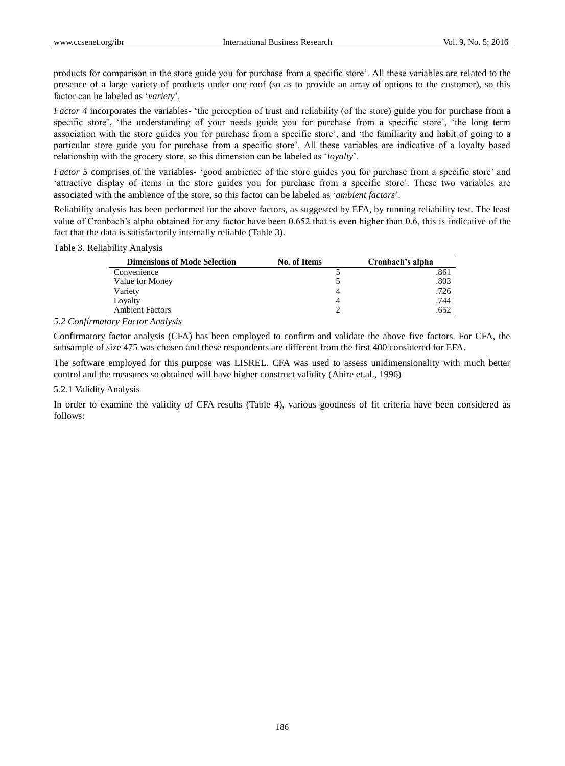products for comparison in the store guide you for purchase from a specific store'. All these variables are related to the presence of a large variety of products under one roof (so as to provide an array of options to the customer), so this factor can be labeled as '*variety*'.

*Factor 4* incorporates the variables- 'the perception of trust and reliability (of the store) guide you for purchase from a specific store', 'the understanding of your needs guide you for purchase from a specific store', 'the long term association with the store guides you for purchase from a specific store', and 'the familiarity and habit of going to a particular store guide you for purchase from a specific store'. All these variables are indicative of a loyalty based relationship with the grocery store, so this dimension can be labeled as '*loyalty*'.

*Factor 5* comprises of the variables- 'good ambience of the store guides you for purchase from a specific store' and 'attractive display of items in the store guides you for purchase from a specific store'. These two variables are associated with the ambience of the store, so this factor can be labeled as '*ambient factors*'.

Reliability analysis has been performed for the above factors, as suggested by EFA, by running reliability test. The least value of Cronbach's alpha obtained for any factor have been 0.652 that is even higher than 0.6, this is indicative of the fact that the data is satisfactorily internally reliable (Table 3).

Table 3. Reliability Analysis

| <b>Dimensions of Mode Selection</b> | <b>No. of Items</b> | Cronbach's alpha |
|-------------------------------------|---------------------|------------------|
| Convenience                         |                     | .861             |
| Value for Money                     |                     | .803             |
| Variety                             |                     | .726             |
| Loyalty                             |                     | .744             |
| <b>Ambient Factors</b>              |                     | .652             |

## *5.2 Confirmatory Factor Analysis*

Confirmatory factor analysis (CFA) has been employed to confirm and validate the above five factors. For CFA, the subsample of size 475 was chosen and these respondents are different from the first 400 considered for EFA.

The software employed for this purpose was LISREL. CFA was used to assess unidimensionality with much better control and the measures so obtained will have higher construct validity (Ahire et.al., 1996)

#### 5.2.1 Validity Analysis

In order to examine the validity of CFA results (Table 4), various goodness of fit criteria have been considered as follows: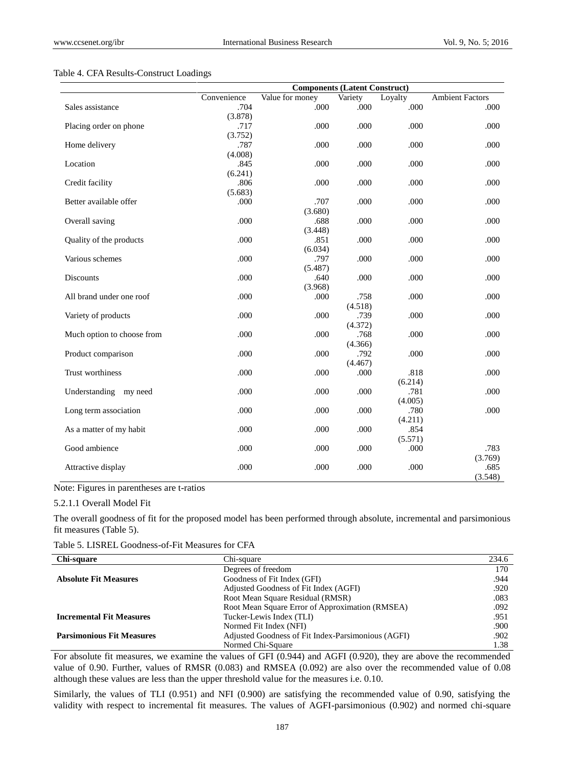#### Table 4. CFA Results-Construct Loadings

|                            | <b>Components (Latent Construct)</b> |                 |                 |         |                        |  |  |
|----------------------------|--------------------------------------|-----------------|-----------------|---------|------------------------|--|--|
|                            | Convenience                          | Value for money | Variety         | Loyalty | <b>Ambient Factors</b> |  |  |
| Sales assistance           | .704                                 | .000            | .000            | .000    | .000                   |  |  |
|                            | (3.878)                              |                 |                 |         |                        |  |  |
| Placing order on phone     | .717                                 | .000            | .000            | .000    | .000                   |  |  |
|                            | (3.752)                              |                 |                 |         |                        |  |  |
| Home delivery              | .787                                 | .000            | .000            | .000    | .000                   |  |  |
|                            | (4.008)                              |                 |                 |         |                        |  |  |
| Location                   | .845                                 | .000            | .000            | .000    | .000                   |  |  |
|                            | (6.241)                              |                 |                 |         |                        |  |  |
| Credit facility            | .806                                 | .000            | .000            | .000    | .000                   |  |  |
|                            | (5.683)                              |                 |                 |         |                        |  |  |
| Better available offer     | .000                                 | .707            | .000            | .000    | .000                   |  |  |
|                            |                                      | (3.680)         |                 |         |                        |  |  |
| Overall saving             | .000                                 | .688            | .000            | .000    | .000                   |  |  |
|                            |                                      | (3.448)         |                 |         |                        |  |  |
| Quality of the products    | .000                                 | .851            | .000            | .000    | .000                   |  |  |
|                            |                                      | (6.034)         |                 |         |                        |  |  |
| Various schemes            | .000                                 | .797            | .000            | .000    | .000                   |  |  |
|                            |                                      | (5.487)         |                 |         |                        |  |  |
| Discounts                  | .000                                 | .640            | .000            | .000    | .000                   |  |  |
|                            |                                      | (3.968)         |                 |         |                        |  |  |
| All brand under one roof   | .000                                 | .000            | .758            | .000    | .000                   |  |  |
|                            |                                      |                 | (4.518)         |         |                        |  |  |
| Variety of products        | .000                                 | .000            | .739            | .000    | .000                   |  |  |
|                            |                                      |                 | (4.372)         |         |                        |  |  |
| Much option to choose from | .000                                 | .000            | .768            | .000    | .000                   |  |  |
|                            | .000                                 |                 | (4.366)<br>.792 |         |                        |  |  |
| Product comparison         |                                      | .000            | (4.467)         | .000    | .000                   |  |  |
| Trust worthiness           | .000                                 | .000            | .000            | .818    | .000                   |  |  |
|                            |                                      |                 |                 | (6.214) |                        |  |  |
| Understanding my need      | .000                                 | .000            | .000            | .781    | .000                   |  |  |
|                            |                                      |                 |                 | (4.005) |                        |  |  |
| Long term association      | .000                                 | .000            | .000            | .780    | .000                   |  |  |
|                            |                                      |                 |                 | (4.211) |                        |  |  |
| As a matter of my habit    | .000                                 | .000            | .000            | .854    |                        |  |  |
|                            |                                      |                 |                 | (5.571) |                        |  |  |
| Good ambience              | .000                                 | .000            | .000            | .000    | .783                   |  |  |
|                            |                                      |                 |                 |         | (3.769)                |  |  |
| Attractive display         | .000                                 | .000            | .000            | .000    | .685                   |  |  |
|                            |                                      |                 |                 |         | (3.548)                |  |  |

Note: Figures in parentheses are t-ratios

## 5.2.1.1 Overall Model Fit

The overall goodness of fit for the proposed model has been performed through absolute, incremental and parsimonious fit measures (Table 5).

| Table 5. LISREL Goodness-of-Fit Measures for CFA |  |
|--------------------------------------------------|--|
|--------------------------------------------------|--|

| Chi-square                       | Chi-square                                         | 234.6 |
|----------------------------------|----------------------------------------------------|-------|
|                                  | Degrees of freedom                                 | 170   |
| <b>Absolute Fit Measures</b>     | Goodness of Fit Index (GFI)                        | .944  |
|                                  | Adjusted Goodness of Fit Index (AGFI)              | .920  |
|                                  | Root Mean Square Residual (RMSR)                   | .083  |
|                                  | Root Mean Square Error of Approximation (RMSEA)    | .092  |
| <b>Incremental Fit Measures</b>  | Tucker-Lewis Index (TLI)                           | .951  |
|                                  | Normed Fit Index (NFI)                             | .900  |
| <b>Parsimonious Fit Measures</b> | Adjusted Goodness of Fit Index-Parsimonious (AGFI) | .902  |
|                                  | Normed Chi-Square                                  | 1.38  |

For absolute fit measures, we examine the values of GFI (0.944) and AGFI (0.920), they are above the recommended value of 0.90. Further, values of RMSR (0.083) and RMSEA (0.092) are also over the recommended value of 0.08 although these values are less than the upper threshold value for the measures i.e. 0.10.

Similarly, the values of TLI (0.951) and NFI (0.900) are satisfying the recommended value of 0.90, satisfying the validity with respect to incremental fit measures. The values of AGFI-parsimonious (0.902) and normed chi-square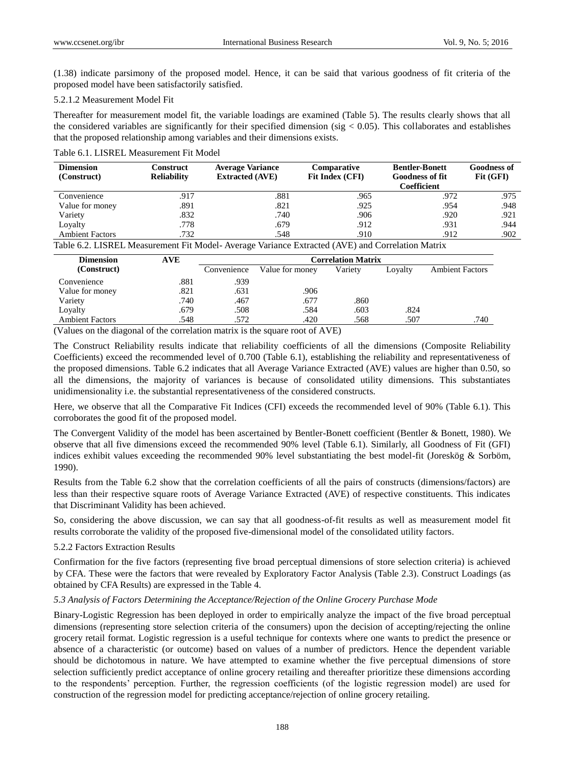(1.38) indicate parsimony of the proposed model. Hence, it can be said that various goodness of fit criteria of the proposed model have been satisfactorily satisfied.

### 5.2.1.2 Measurement Model Fit

Thereafter for measurement model fit, the variable loadings are examined (Table 5). The results clearly shows that all the considered variables are significantly for their specified dimension (sig  $< 0.05$ ). This collaborates and establishes that the proposed relationship among variables and their dimensions exists.

Table 6.1. LISREL Measurement Fit Model

| <b>Dimension</b><br>(Construct) | Construct<br><b>Reliability</b> | <b>Average Variance</b><br><b>Extracted (AVE)</b> | Comparative<br>Fit Index (CFI) | <b>Bentler-Bonett</b><br><b>Goodness of fit</b><br>Coefficient | <b>Goodness of</b><br>Fit (GFI) |
|---------------------------------|---------------------------------|---------------------------------------------------|--------------------------------|----------------------------------------------------------------|---------------------------------|
| Convenience                     | .917                            | .881                                              | .965                           | .972                                                           | .975                            |
| Value for money                 | .891                            | .821                                              | .925                           | .954                                                           | .948                            |
| Variety                         | .832                            | .740                                              | .906                           | .920                                                           | .921                            |
| Loyalty                         | .778                            | .679                                              | .912                           | .931                                                           | .944                            |
| <b>Ambient Factors</b>          | .732                            | .548                                              | .910                           | .912                                                           | .902                            |

Table 6.2. LISREL Measurement Fit Model- Average Variance Extracted (AVE) and Correlation Matrix

| <b>Dimension</b>       | AVE  | <b>Correlation Matrix</b> |                 |         |         |                        |  |  |
|------------------------|------|---------------------------|-----------------|---------|---------|------------------------|--|--|
| (Construct)            |      | Convenience               | Value for money | Varietv | Lovalty | <b>Ambient Factors</b> |  |  |
| Convenience            | .881 | .939                      |                 |         |         |                        |  |  |
| Value for money        | .821 | .631                      | .906            |         |         |                        |  |  |
| Variety                | .740 | .467                      | .677            | .860    |         |                        |  |  |
| Loyalty                | .679 | .508                      | .584            | .603    | .824    |                        |  |  |
| <b>Ambient Factors</b> | .548 | .572                      | .420            | .568    | .507    | .740                   |  |  |

(Values on the diagonal of the correlation matrix is the square root of AVE)

The Construct Reliability results indicate that reliability coefficients of all the dimensions (Composite Reliability Coefficients) exceed the recommended level of 0.700 (Table 6.1), establishing the reliability and representativeness of the proposed dimensions. Table 6.2 indicates that all Average Variance Extracted (AVE) values are higher than 0.50, so all the dimensions, the majority of variances is because of consolidated utility dimensions. This substantiates unidimensionality i.e. the substantial representativeness of the considered constructs.

Here, we observe that all the Comparative Fit Indices (CFI) exceeds the recommended level of 90% (Table 6.1). This corroborates the good fit of the proposed model.

The Convergent Validity of the model has been ascertained by Bentler-Bonett coefficient (Bentler & Bonett, 1980). We observe that all five dimensions exceed the recommended 90% level (Table 6.1). Similarly, all Goodness of Fit (GFI) indices exhibit values exceeding the recommended 90% level substantiating the best model-fit (Joreskög & Sorböm, 1990).

Results from the Table 6.2 show that the correlation coefficients of all the pairs of constructs (dimensions/factors) are less than their respective square roots of Average Variance Extracted (AVE) of respective constituents. This indicates that Discriminant Validity has been achieved.

So, considering the above discussion, we can say that all goodness-of-fit results as well as measurement model fit results corroborate the validity of the proposed five-dimensional model of the consolidated utility factors.

## 5.2.2 Factors Extraction Results

Confirmation for the five factors (representing five broad perceptual dimensions of store selection criteria) is achieved by CFA. These were the factors that were revealed by Exploratory Factor Analysis (Table 2.3). Construct Loadings (as obtained by CFA Results) are expressed in the Table 4.

## *5.3 Analysis of Factors Determining the Acceptance/Rejection of the Online Grocery Purchase Mode*

Binary-Logistic Regression has been deployed in order to empirically analyze the impact of the five broad perceptual dimensions (representing store selection criteria of the consumers) upon the decision of accepting/rejecting the online grocery retail format. Logistic regression is a useful technique for contexts where one wants to predict the presence or absence of a characteristic (or outcome) based on values of a number of predictors. Hence the dependent variable should be dichotomous in nature. We have attempted to examine whether the five perceptual dimensions of store selection sufficiently predict acceptance of online grocery retailing and thereafter prioritize these dimensions according to the respondents' perception. Further, the regression coefficients (of the logistic regression model) are used for construction of the regression model for predicting acceptance/rejection of online grocery retailing.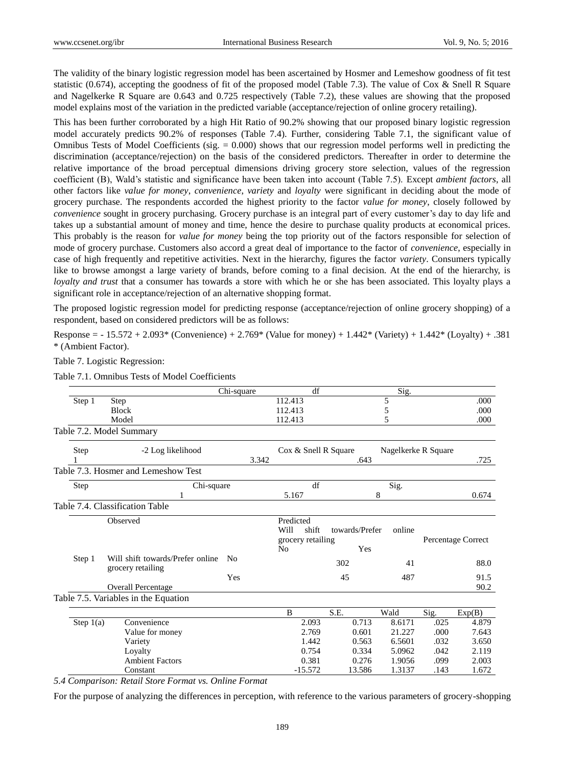The validity of the binary logistic regression model has been ascertained by Hosmer and Lemeshow goodness of fit test statistic (0.674), accepting the goodness of fit of the proposed model (Table 7.3). The value of Cox & Snell R Square and Nagelkerke R Square are 0.643 and 0.725 respectively (Table 7.2), these values are showing that the proposed model explains most of the variation in the predicted variable (acceptance/rejection of online grocery retailing).

This has been further corroborated by a high Hit Ratio of 90.2% showing that our proposed binary logistic regression model accurately predicts 90.2% of responses (Table 7.4). Further, considering Table 7.1, the significant value of Omnibus Tests of Model Coefficients (sig. = 0.000) shows that our regression model performs well in predicting the discrimination (acceptance/rejection) on the basis of the considered predictors. Thereafter in order to determine the relative importance of the broad perceptual dimensions driving grocery store selection, values of the regression coefficient (B), Wald's statistic and significance have been taken into account (Table 7.5). Except *ambient factors*, all other factors like *value for money*, *convenience*, *variety* and *loyalty* were significant in deciding about the mode of grocery purchase. The respondents accorded the highest priority to the factor *value for money*, closely followed by *convenience* sought in grocery purchasing. Grocery purchase is an integral part of every customer's day to day life and takes up a substantial amount of money and time, hence the desire to purchase quality products at economical prices. This probably is the reason for *value for money* being the top priority out of the factors responsible for selection of mode of grocery purchase. Customers also accord a great deal of importance to the factor of *convenience*, especially in case of high frequently and repetitive activities. Next in the hierarchy, figures the factor *variety*. Consumers typically like to browse amongst a large variety of brands, before coming to a final decision. At the end of the hierarchy, is *loyalty and trust* that a consumer has towards a store with which he or she has been associated. This loyalty plays a significant role in acceptance/rejection of an alternative shopping format.

The proposed logistic regression model for predicting response (acceptance/rejection of online grocery shopping) of a respondent, based on considered predictors will be as follows:

Response =  $-15.572 + 2.093$ \* (Convenience) +  $2.769$ \* (Value for money) +  $1.442$ \* (Variety) +  $1.442$ \* (Loyalty) + .381 \* (Ambient Factor).

#### Table 7. Logistic Regression:

|                                 |                                                       |                                      | Chi-square |  |                   | df                   |      |                | Sig.                |      |                    |
|---------------------------------|-------------------------------------------------------|--------------------------------------|------------|--|-------------------|----------------------|------|----------------|---------------------|------|--------------------|
| Step 1                          | Step                                                  |                                      |            |  | 112.413           |                      |      |                | 5                   |      | .000               |
|                                 | <b>Block</b>                                          |                                      |            |  | 112.413           |                      | 5    | .000           |                     |      |                    |
|                                 | Model                                                 |                                      |            |  | 112.413           |                      |      |                | 5                   |      | .000               |
| Table 7.2. Model Summary        |                                                       |                                      |            |  |                   |                      |      |                |                     |      |                    |
| Step                            |                                                       | -2 Log likelihood                    |            |  |                   | Cox & Snell R Square |      |                | Nagelkerke R Square |      |                    |
|                                 | 3.342                                                 |                                      | .643       |  |                   |                      |      |                | .725                |      |                    |
|                                 |                                                       | Table 7.3. Hosmer and Lemeshow Test  |            |  |                   |                      |      |                |                     |      |                    |
| Step                            | Chi-square                                            |                                      |            |  | df                |                      |      | Sig.           |                     |      |                    |
|                                 |                                                       |                                      |            |  | 5.167             |                      | 8    |                | 0.674               |      |                    |
| Table 7.4. Classification Table |                                                       |                                      |            |  |                   |                      |      |                |                     |      |                    |
|                                 | Observed                                              |                                      |            |  | Predicted<br>Will | shift                |      | towards/Prefer | online              |      |                    |
|                                 |                                                       |                                      |            |  |                   | grocery retailing    |      |                |                     |      | Percentage Correct |
|                                 |                                                       |                                      |            |  | N <sub>o</sub>    |                      |      | Yes            |                     |      |                    |
| Step 1                          | Will shift towards/Prefer online<br>grocery retailing |                                      | No         |  |                   |                      | 302  |                | 41                  |      | 88.0               |
|                                 |                                                       |                                      | Yes        |  |                   |                      | 45   |                | 487                 |      | 91.5               |
|                                 | <b>Overall Percentage</b>                             |                                      |            |  |                   |                      |      |                |                     | 90.2 |                    |
|                                 |                                                       | Table 7.5. Variables in the Equation |            |  |                   |                      |      |                |                     |      |                    |
|                                 |                                                       |                                      |            |  | B                 |                      | S.E. |                | Wald                | Sig. | Exp(B)             |
| Step $1(a)$                     |                                                       | Convenience                          |            |  |                   | 2.093                |      | 0.713          | 8.6171              | .025 | 4.879              |
|                                 |                                                       | Value for money                      |            |  |                   | 2.769                |      | 0.601          | 21.227              | .000 | 7.643              |
|                                 | Variety                                               |                                      |            |  |                   | 1.442                |      | 0.563          | 6.5601              | .032 | 3.650              |
|                                 | Loyalty                                               |                                      |            |  |                   | 0.754                |      | 0.334          | 5.0962              | .042 | 2.119              |
|                                 |                                                       | <b>Ambient Factors</b>               |            |  |                   | 0.381                |      | 0.276          | 1.9056              | .099 | 2.003              |
|                                 | Constant                                              |                                      |            |  |                   | $-15.572$            |      | 13.586         | 1.3137              | .143 | 1.672              |

Table 7.1. Omnibus Tests of Model Coefficients

*5.4 Comparison: Retail Store Format vs. Online Format*

For the purpose of analyzing the differences in perception, with reference to the various parameters of grocery-shopping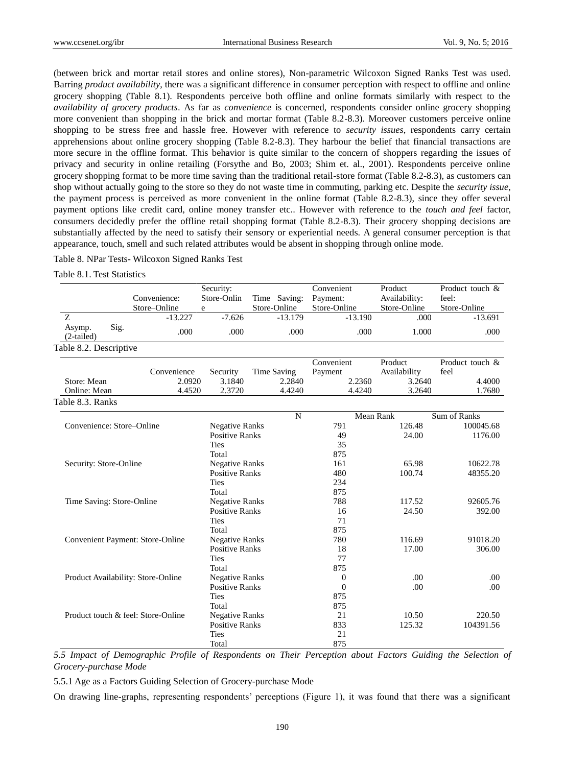(between brick and mortar retail stores and online stores), Non-parametric Wilcoxon Signed Ranks Test was used. Barring *product availability*, there was a significant difference in consumer perception with respect to offline and online grocery shopping (Table 8.1). Respondents perceive both offline and online formats similarly with respect to the *availability of grocery products*. As far as *convenience* is concerned, respondents consider online grocery shopping more convenient than shopping in the brick and mortar format (Table 8.2-8.3). Moreover customers perceive online shopping to be stress free and hassle free. However with reference to *security issues*, respondents carry certain apprehensions about online grocery shopping (Table 8.2-8.3). They harbour the belief that financial transactions are more secure in the offline format. This behavior is quite similar to the concern of shoppers regarding the issues of privacy and security in online retailing (Forsythe and Bo, 2003; Shim et. al., 2001). Respondents perceive online grocery shopping format to be more time saving than the traditional retail-store format (Table 8.2-8.3), as customers can shop without actually going to the store so they do not waste time in commuting, parking etc. Despite the *security issue*, the payment process is perceived as more convenient in the online format (Table 8.2-8.3), since they offer several payment options like credit card, online money transfer etc.. However with reference to the *touch and feel* factor, consumers decidedly prefer the offline retail shopping format (Table 8.2-8.3). Their grocery shopping decisions are substantially affected by the need to satisfy their sensory or experiential needs. A general consumer perception is that appearance, touch, smell and such related attributes would be absent in shopping through online mode.

Table 8. NPar Tests- Wilcoxon Signed Ranks Test

Table 8.1. Test Statistics

|                                    |      | Convenience:<br>Store-Online            | Security:<br>Store-Onlin<br>e | Time Saving:<br>Store-Online | Convenient<br>Payment:<br>Store-Online |           | Product<br>Availability:<br>Store-Online |        | Product touch &<br>feel:<br>Store-Online |
|------------------------------------|------|-----------------------------------------|-------------------------------|------------------------------|----------------------------------------|-----------|------------------------------------------|--------|------------------------------------------|
| Z                                  |      | $-13.227$                               | $-7.626$                      | $-13.179$                    |                                        | $-13.190$ |                                          | .000   | $-13.691$                                |
| Asymp.<br>$(2-tailed)$             | Sig. | .000                                    | .000                          | .000                         |                                        | .000      |                                          | 1.000  | .000                                     |
| Table 8.2. Descriptive             |      |                                         |                               |                              |                                        |           |                                          |        |                                          |
|                                    |      | Convenience                             | Security                      | <b>Time Saving</b>           | Convenient<br>Payment                  |           | Product<br>Availability                  |        | Product touch &<br>feel                  |
| Store: Mean                        |      | 2.0920                                  | 3.1840                        | 2.2840                       |                                        | 2.2360    |                                          | 3.2640 | 4.4000                                   |
| Online: Mean                       |      | 4.4520                                  | 2.3720                        | 4.4240                       |                                        | 4.4240    | 3.2640                                   |        | 1.7680                                   |
| Table 8.3. Ranks                   |      |                                         |                               |                              |                                        |           |                                          |        |                                          |
|                                    |      |                                         |                               | N                            |                                        | Mean Rank |                                          |        | Sum of Ranks                             |
| Convenience: Store-Online          |      |                                         | <b>Negative Ranks</b>         |                              | 791                                    |           | 126.48                                   |        | 100045.68                                |
|                                    |      |                                         | <b>Positive Ranks</b>         |                              | 49                                     |           | 24.00                                    |        | 1176.00                                  |
|                                    |      |                                         | <b>Ties</b>                   |                              | 35                                     |           |                                          |        |                                          |
|                                    |      |                                         | Total                         |                              | 875                                    |           |                                          |        |                                          |
| Security: Store-Online             |      |                                         | <b>Negative Ranks</b>         |                              | 161                                    |           | 65.98                                    |        | 10622.78                                 |
|                                    |      |                                         | <b>Positive Ranks</b>         |                              | 480                                    |           | 100.74                                   |        | 48355.20                                 |
|                                    |      |                                         | <b>Ties</b>                   |                              | 234                                    |           |                                          |        |                                          |
|                                    |      |                                         | Total                         |                              | 875                                    |           |                                          |        |                                          |
| Time Saving: Store-Online          |      |                                         | <b>Negative Ranks</b>         |                              | 788                                    |           | 117.52                                   |        | 92605.76                                 |
|                                    |      |                                         | <b>Positive Ranks</b>         |                              | 16                                     |           | 24.50                                    |        | 392.00                                   |
|                                    |      |                                         | <b>Ties</b>                   |                              | 71                                     |           |                                          |        |                                          |
|                                    |      |                                         | Total                         |                              | 875                                    |           |                                          |        |                                          |
|                                    |      | <b>Convenient Payment: Store-Online</b> | <b>Negative Ranks</b>         |                              | 780                                    |           | 116.69                                   |        | 91018.20                                 |
|                                    |      |                                         | <b>Positive Ranks</b>         |                              | 18                                     |           | 17.00                                    |        | 306.00                                   |
|                                    |      |                                         | <b>Ties</b>                   |                              | 77                                     |           |                                          |        |                                          |
|                                    |      |                                         | Total                         |                              | 875                                    |           |                                          |        |                                          |
| Product Availability: Store-Online |      |                                         |                               | <b>Negative Ranks</b>        |                                        |           | .00                                      |        | .00                                      |
|                                    |      |                                         | <b>Positive Ranks</b>         |                              | $\overline{0}$                         |           | .00                                      |        | .00                                      |
|                                    |      |                                         | <b>Ties</b>                   |                              | 875                                    |           |                                          |        |                                          |
|                                    |      |                                         | Total                         |                              | 875                                    |           |                                          |        |                                          |
|                                    |      | Product touch & feel: Store-Online      | <b>Negative Ranks</b>         |                              | 21                                     |           | 10.50                                    |        | 220.50                                   |
|                                    |      |                                         | <b>Positive Ranks</b>         |                              | 833                                    |           | 125.32                                   |        | 104391.56                                |
|                                    |      |                                         | <b>Ties</b>                   |                              | 21                                     |           |                                          |        |                                          |
|                                    |      |                                         | Total                         |                              | 875                                    |           |                                          |        |                                          |

*5.5 Impact of Demographic Profile of Respondents on Their Perception about Factors Guiding the Selection of Grocery-purchase Mode*

5.5.1 Age as a Factors Guiding Selection of Grocery-purchase Mode

On drawing line-graphs, representing respondents' perceptions (Figure 1), it was found that there was a significant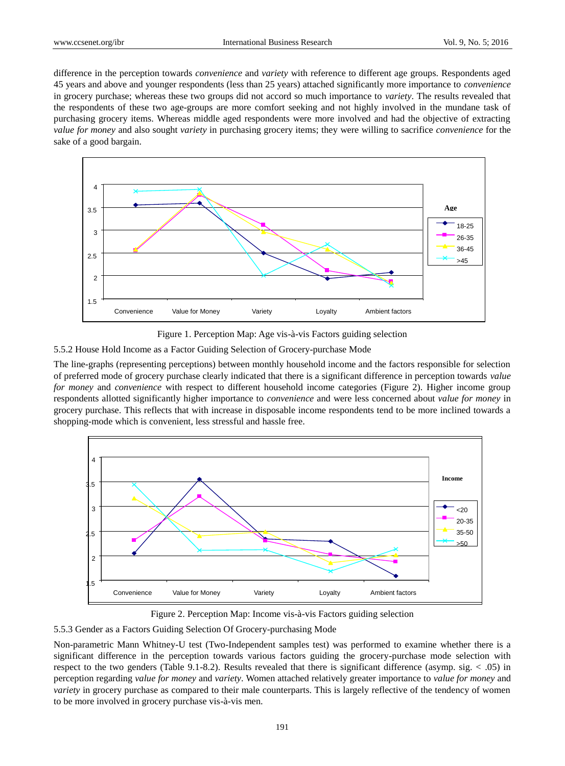difference in the perception towards *convenience* and *variety* with reference to different age groups. Respondents aged 45 years and above and younger respondents (less than 25 years) attached significantly more importance to *convenience* in grocery purchase; whereas these two groups did not accord so much importance to *variety*. The results revealed that the respondents of these two age-groups are more comfort seeking and not highly involved in the mundane task of purchasing grocery items. Whereas middle aged respondents were more involved and had the objective of extracting *value for money* and also sought *variety* in purchasing grocery items; they were willing to sacrifice *convenience* for the sake of a good bargain.



Figure 1. Perception Map: Age vis-à-vis Factors guiding selection

5.5.2 House Hold Income as a Factor Guiding Selection of Grocery-purchase Mode

The line-graphs (representing perceptions) between monthly household income and the factors responsible for selection of preferred mode of grocery purchase clearly indicated that there is a significant difference in perception towards *value for money* and *convenience* with respect to different household income categories (Figure 2). Higher income group respondents allotted significantly higher importance to *convenience* and were less concerned about *value for money* in grocery purchase. This reflects that with increase in disposable income respondents tend to be more inclined towards a shopping-mode which is convenient, less stressful and hassle free.



Figure 2. Perception Map: Income vis-à-vis Factors guiding selection

5.5.3 Gender as a Factors Guiding Selection Of Grocery-purchasing Mode

Non-parametric Mann Whitney-U test (Two-Independent samples test) was performed to examine whether there is a significant difference in the perception towards various factors guiding the grocery-purchase mode selection with respect to the two genders (Table 9.1-8.2). Results revealed that there is significant difference (asymp. sig. < .05) in perception regarding *value for money* and *variety*. Women attached relatively greater importance to *value for money* and *variety* in grocery purchase as compared to their male counterparts. This is largely reflective of the tendency of women to be more involved in grocery purchase vis- $\lambda$ -vis men.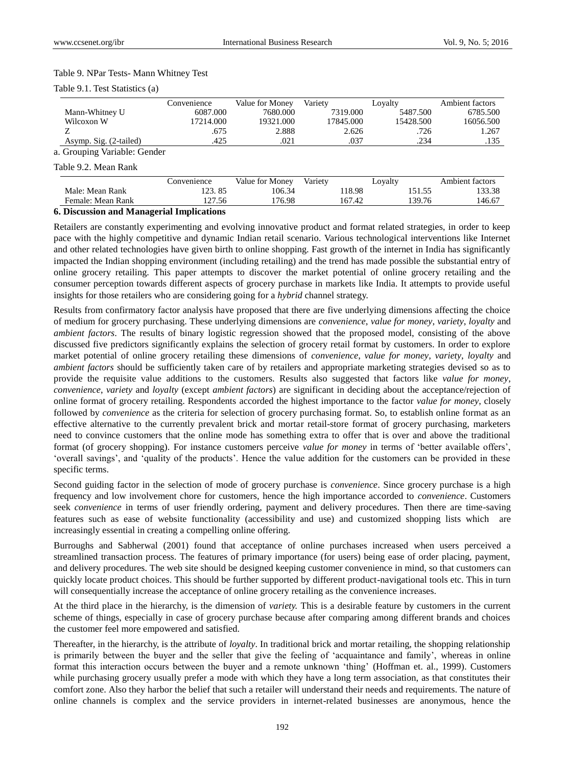#### Table 9. NPar Tests- Mann Whitney Test

|  | Table 9.1. Test Statistics (a) |  |
|--|--------------------------------|--|
|--|--------------------------------|--|

|                                          | Convenience | Value for Money | Varietv   | Lovalty   | Ambient factors |
|------------------------------------------|-------------|-----------------|-----------|-----------|-----------------|
| Mann-Whitney U                           | 6087.000    | 7680.000        | 7319.000  | 5487.500  | 6785.500        |
| Wilcoxon W                               | 17214.000   | 19321.000       | 17845.000 | 15428.500 | 16056.500       |
|                                          | .675        | 2.888           | 2.626     | .726      | 1.267           |
| Asymp. Sig. (2-tailed)                   | 425         | .021            | .037      | .234      | .135            |
| $\sim$ Committee Vector letter Construct |             |                 |           |           |                 |

a. Grouping Variable: Gender

Table 9.2. Mean Rank

|                   | :onvenience                            | Value for Monev | Variety     | Loyalty | Ambient factors |
|-------------------|----------------------------------------|-----------------|-------------|---------|-----------------|
| Male: Mean Rank   | 85                                     | 106.34          | 18.98       | .       | 33.38           |
| Female: Mean Rank | 127.56                                 | 76.98           | 167<br>'.42 | 139.76  | 46.6            |
| - - -<br>- - -    | $ -$<br>$\sim$ $\sim$ $\sim$<br>$\sim$ |                 |             |         |                 |

## **6. Discussion and Managerial Implications**

Retailers are constantly experimenting and evolving innovative product and format related strategies, in order to keep pace with the highly competitive and dynamic Indian retail scenario. Various technological interventions like Internet and other related technologies have given birth to online shopping. Fast growth of the internet in India has significantly impacted the Indian shopping environment (including retailing) and the trend has made possible the substantial entry of online grocery retailing. This paper attempts to discover the market potential of online grocery retailing and the consumer perception towards different aspects of grocery purchase in markets like India. It attempts to provide useful insights for those retailers who are considering going for a *hybrid* channel strategy.

Results from confirmatory factor analysis have proposed that there are five underlying dimensions affecting the choice of medium for grocery purchasing. These underlying dimensions are *convenience*, *value for money*, *variety*, *loyalty* and *ambient factors*. The results of binary logistic regression showed that the proposed model, consisting of the above discussed five predictors significantly explains the selection of grocery retail format by customers. In order to explore market potential of online grocery retailing these dimensions of *convenience*, *value for money*, *variety*, *loyalty* and *ambient factors* should be sufficiently taken care of by retailers and appropriate marketing strategies devised so as to provide the requisite value additions to the customers. Results also suggested that factors like *value for money*, *convenience*, *variety* and *loyalty* (except *ambient factors*) are significant in deciding about the acceptance/rejection of online format of grocery retailing. Respondents accorded the highest importance to the factor *value for money*, closely followed by *convenience* as the criteria for selection of grocery purchasing format. So, to establish online format as an effective alternative to the currently prevalent brick and mortar retail-store format of grocery purchasing, marketers need to convince customers that the online mode has something extra to offer that is over and above the traditional format (of grocery shopping). For instance customers perceive *value for money* in terms of 'better available offers', 'overall savings', and 'quality of the products'. Hence the value addition for the customers can be provided in these specific terms.

Second guiding factor in the selection of mode of grocery purchase is *convenience*. Since grocery purchase is a high frequency and low involvement chore for customers, hence the high importance accorded to *convenience*. Customers seek *convenience* in terms of user friendly ordering, payment and delivery procedures. Then there are time-saving features such as ease of website functionality (accessibility and use) and customized shopping lists which are increasingly essential in creating a compelling online offering.

Burroughs and Sabherwal (2001) found that acceptance of online purchases increased when users perceived a streamlined transaction process. The features of primary importance (for users) being ease of order placing, payment, and delivery procedures. The web site should be designed keeping customer convenience in mind, so that customers can quickly locate product choices. This should be further supported by different product-navigational tools etc. This in turn will consequentially increase the acceptance of online grocery retailing as the convenience increases.

At the third place in the hierarchy, is the dimension of *variety.* This is a desirable feature by customers in the current scheme of things, especially in case of grocery purchase because after comparing among different brands and choices the customer feel more empowered and satisfied.

Thereafter, in the hierarchy, is the attribute of *loyalty*. In traditional brick and mortar retailing, the shopping relationship is primarily between the buyer and the seller that give the feeling of 'acquaintance and family', whereas in online format this interaction occurs between the buyer and a remote unknown 'thing' (Hoffman et. al., 1999). Customers while purchasing grocery usually prefer a mode with which they have a long term association, as that constitutes their comfort zone. Also they harbor the belief that such a retailer will understand their needs and requirements. The nature of online channels is complex and the service providers in internet-related businesses are anonymous, hence the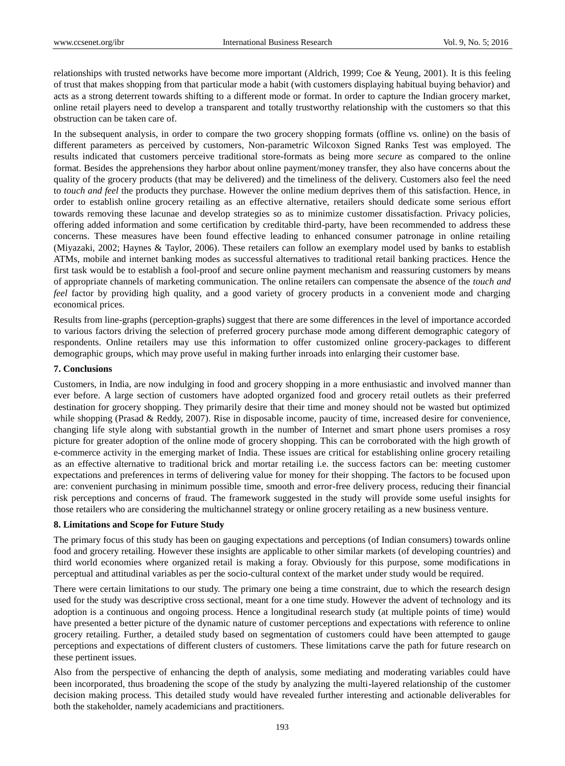relationships with trusted networks have become more important (Aldrich, 1999; Coe & Yeung, 2001). It is this feeling of trust that makes shopping from that particular mode a habit (with customers displaying habitual buying behavior) and acts as a strong deterrent towards shifting to a different mode or format. In order to capture the Indian grocery market, online retail players need to develop a transparent and totally trustworthy relationship with the customers so that this obstruction can be taken care of.

In the subsequent analysis, in order to compare the two grocery shopping formats (offline vs. online) on the basis of different parameters as perceived by customers, Non-parametric Wilcoxon Signed Ranks Test was employed. The results indicated that customers perceive traditional store-formats as being more *secure* as compared to the online format. Besides the apprehensions they harbor about online payment/money transfer, they also have concerns about the quality of the grocery products (that may be delivered) and the timeliness of the delivery. Customers also feel the need to *touch and feel* the products they purchase. However the online medium deprives them of this satisfaction. Hence, in order to establish online grocery retailing as an effective alternative, retailers should dedicate some serious effort towards removing these lacunae and develop strategies so as to minimize customer dissatisfaction. Privacy policies, offering added information and some certification by creditable third-party, have been recommended to address these concerns. These measures have been found effective leading to enhanced consumer patronage in online retailing (Miyazaki, 2002; Haynes & Taylor, 2006). These retailers can follow an exemplary model used by banks to establish ATMs, mobile and internet banking modes as successful alternatives to traditional retail banking practices. Hence the first task would be to establish a fool-proof and secure online payment mechanism and reassuring customers by means of appropriate channels of marketing communication. The online retailers can compensate the absence of the *touch and feel* factor by providing high quality, and a good variety of grocery products in a convenient mode and charging economical prices.

Results from line-graphs (perception-graphs) suggest that there are some differences in the level of importance accorded to various factors driving the selection of preferred grocery purchase mode among different demographic category of respondents. Online retailers may use this information to offer customized online grocery-packages to different demographic groups, which may prove useful in making further inroads into enlarging their customer base.

#### **7. Conclusions**

Customers, in India, are now indulging in food and grocery shopping in a more enthusiastic and involved manner than ever before. A large section of customers have adopted organized food and grocery retail outlets as their preferred destination for grocery shopping. They primarily desire that their time and money should not be wasted but optimized while shopping (Prasad & Reddy, 2007). Rise in disposable income, paucity of time, increased desire for convenience, changing life style along with substantial growth in the number of Internet and smart phone users promises a rosy picture for greater adoption of the online mode of grocery shopping. This can be corroborated with the high growth of e-commerce activity in the emerging market of India. These issues are critical for establishing online grocery retailing as an effective alternative to traditional brick and mortar retailing i.e. the success factors can be: meeting customer expectations and preferences in terms of delivering value for money for their shopping. The factors to be focused upon are: convenient purchasing in minimum possible time, smooth and error-free delivery process, reducing their financial risk perceptions and concerns of fraud. The framework suggested in the study will provide some useful insights for those retailers who are considering the multichannel strategy or online grocery retailing as a new business venture.

## **8. Limitations and Scope for Future Study**

The primary focus of this study has been on gauging expectations and perceptions (of Indian consumers) towards online food and grocery retailing. However these insights are applicable to other similar markets (of developing countries) and third world economies where organized retail is making a foray. Obviously for this purpose, some modifications in perceptual and attitudinal variables as per the socio-cultural context of the market under study would be required.

There were certain limitations to our study. The primary one being a time constraint, due to which the research design used for the study was descriptive cross sectional, meant for a one time study. However the advent of technology and its adoption is a continuous and ongoing process. Hence a longitudinal research study (at multiple points of time) would have presented a better picture of the dynamic nature of customer perceptions and expectations with reference to online grocery retailing. Further, a detailed study based on segmentation of customers could have been attempted to gauge perceptions and expectations of different clusters of customers. These limitations carve the path for future research on these pertinent issues.

Also from the perspective of enhancing the depth of analysis, some mediating and moderating variables could have been incorporated, thus broadening the scope of the study by analyzing the multi-layered relationship of the customer decision making process. This detailed study would have revealed further interesting and actionable deliverables for both the stakeholder, namely academicians and practitioners.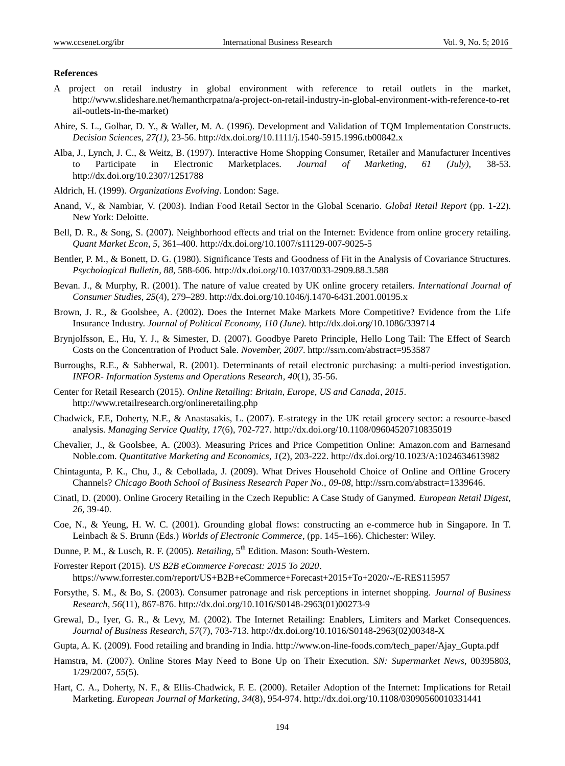#### **References**

- A project on retail industry in global environment with reference to retail outlets in the market, http://www.slideshare.net/hemanthcrpatna/a-project-on-retail-industry-in-global-environment-with-reference-to-ret ail-outlets-in-the-market)
- Ahire, S. L., Golhar, D. Y., & Waller, M. A. (1996). Development and Validation of TQM Implementation Constructs. *Decision Sciences, 27(1)*, 23-56. <http://dx.doi.org/10.1111/j.1540-5915.1996.tb00842.x>
- Alba, J., Lynch, J. C., & Weitz, B. (1997). Interactive Home Shopping Consumer, Retailer and Manufacturer Incentives to Participate in Electronic Marketplaces. *Journal of Marketing, 61 (July)*, 38-53. <http://dx.doi.org/10.2307/1251788>
- Aldrich, H. (1999). *Organizations Evolving*. London: Sage.
- Anand, V., & Nambiar, V. (2003). Indian Food Retail Sector in the Global Scenario. *Global Retail Report* (pp. 1-22). New York: Deloitte.
- Bell, D. R., & Song, S. (2007). Neighborhood effects and trial on the Internet: Evidence from online grocery retailing. *Quant Market Econ, 5*, 361–400. <http://dx.doi.org/10.1007/s11129-007-9025-5>
- Bentler, P. M., & Bonett, D. G. (1980). Significance Tests and Goodness of Fit in the Analysis of Covariance Structures. *Psychological Bulletin, 88*, 588-606.<http://dx.doi.org/10.1037/0033-2909.88.3.588>
- Bevan. J., & Murphy, R. (2001). The nature of value created by UK online grocery retailers. *International Journal of Consumer Studies, 25*(4), 279–289. <http://dx.doi.org/10.1046/j.1470-6431.2001.00195.x>
- Brown, J. R., & Goolsbee, A. (2002). Does the Internet Make Markets More Competitive? Evidence from the Life Insurance Industry. *Journal of Political Economy, 110 (June)*[. http://dx.doi.org/10.1086/339714](http://dx.doi.org/10.1086/339714)
- Brynjolfsson, E., Hu, Y. J., & Simester, D. (2007). Goodbye Pareto Principle, Hello Long Tail: The Effect of Search Costs on the Concentration of Product Sale. *November, 2007*. http://ssrn.com/abstract=953587
- Burroughs, R.E., & Sabherwal, R. (2001). Determinants of retail electronic purchasing: a multi-period investigation. *INFOR- Information Systems and Operations Research, 40*(1), 35-56.
- Center for Retail Research (2015). *Online Retailing: Britain, Europe, US and Canada, 2015*. http://www.retailresearch.org/onlineretailing.php
- Chadwick, F.E, Doherty, N.F., & Anastasakis, L. (2007). E-strategy in the UK retail grocery sector: a resource-based analysis. *Managing Service Quality, 17*(6), 702-727. <http://dx.doi.org/10.1108/09604520710835019>
- Chevalier, J., & Goolsbee, A. (2003). Measuring Prices and Price Competition Online: Amazon.com and Barnesand Noble.com. *Quantitative Marketing and Economics, 1*(2), 203-222. <http://dx.doi.org/10.1023/A:1024634613982>
- Chintagunta, P. K., Chu, J., & Cebollada, J. (2009). What Drives Household Choice of Online and Offline Grocery Channels? *Chicago Booth School of Business Research Paper No., 09-08*, http://ssrn.com/abstract=1339646.
- Cinatl, D. (2000). Online Grocery Retailing in the Czech Republic: A Case Study of Ganymed. *European Retail Digest, 26*, 39-40.
- Coe, N., & Yeung, H. W. C. (2001). Grounding global flows: constructing an e-commerce hub in Singapore. In T. Leinbach & S. Brunn (Eds.) *Worlds of Electronic Commerce,* (pp. 145–166). Chichester: Wiley.
- Dunne, P. M., & Lusch, R. F. (2005). *Retailing*, 5<sup>th</sup> Edition. Mason: South-Western.
- Forrester Report (2015). *US B2B eCommerce Forecast: 2015 To 2020*. https://www.forrester.com/report/US+B2B+eCommerce+Forecast+2015+To+2020/-/E-RES115957
- Forsythe, S. M., & Bo, S. (2003). Consumer patronage and risk perceptions in internet shopping. *Journal of Business Research, 56*(11), 867-876. [http://dx.doi.org/10.1016/S0148-2963\(01\)00273-9](http://dx.doi.org/10.1016/S0148-2963%2801%2900273-9)
- Grewal, D., Iyer, G. R., & Levy, M. (2002). The Internet Retailing: Enablers, Limiters and Market Consequences. *Journal of Business Research, 57*(7), 703-713. [http://dx.doi.org/10.1016/S0148-2963\(02\)00348-X](http://dx.doi.org/10.1016/S0148-2963%2802%2900348-X)
- Gupta, A. K. (2009). Food retailing and branding in India. http://www.on-line-foods.com/tech\_paper/Ajay\_Gupta.pdf
- Hamstra, M. (2007). Online Stores May Need to Bone Up on Their Execution. *SN: Supermarket News*, 00395803, 1/29/2007, *55*(5).
- Hart, C. A., Doherty, N. F., & Ellis-Chadwick, F. E. (2000). Retailer Adoption of the Internet: Implications for Retail Marketing. *European Journal of Marketing, 34*(8), 954-974. <http://dx.doi.org/10.1108/03090560010331441>